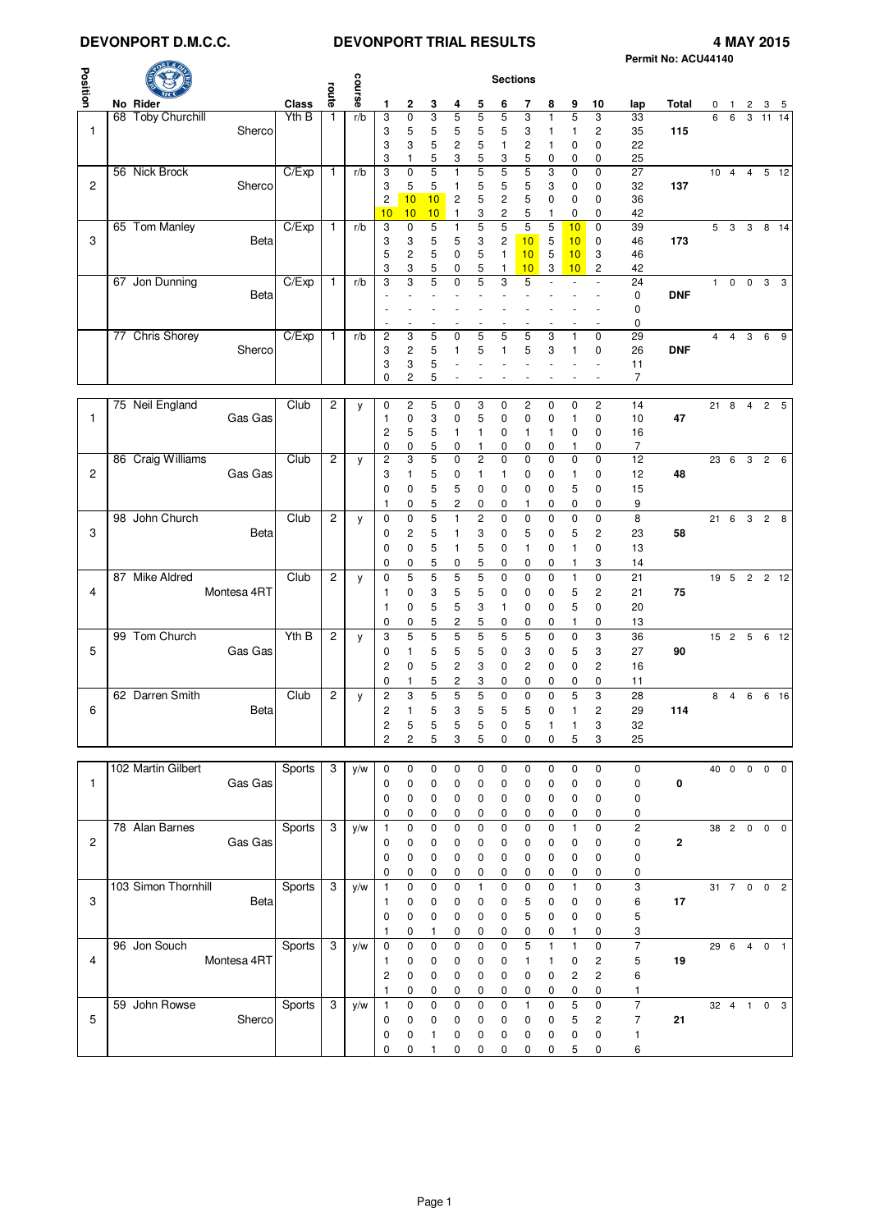# **DEVONPORT D.M.C.C. DEVONPORT TRIAL RESULTS 4 MAY 2015**

|              |                     |             |               |                |                 |                      |                              |             |                     |                |                                  |                     |                   |                   |                              |                      | Permit No: ACU44140 |    |                |                |                |            |
|--------------|---------------------|-------------|---------------|----------------|-----------------|----------------------|------------------------------|-------------|---------------------|----------------|----------------------------------|---------------------|-------------------|-------------------|------------------------------|----------------------|---------------------|----|----------------|----------------|----------------|------------|
|              |                     |             |               |                | <b>Sections</b> |                      |                              |             |                     |                |                                  |                     |                   |                   |                              |                      |                     |    |                |                |                |            |
| Position     | No Rider            |             | <b>Class</b>  | route          | course          | 1                    | 2                            | 3           | 4                   | 5              | 6                                | 7                   | 8                 | 9                 | 10                           | lap                  | Total               | 0  | $\mathbf{1}$   | $\overline{c}$ | 3              | - 5        |
|              | 68 Toby Churchill   |             | Yth B         | 1              | r/b             | 3                    | $\pmb{0}$                    | 3           | 5                   | 5              | 5                                | 3                   | 1                 | 5                 | 3                            | 33                   |                     | 6  | 6              | 3              | $11 \t14$      |            |
| $\mathbf{1}$ |                     | Sherco      |               |                |                 | 3                    | 5                            | 5           | 5                   | 5              | 5                                | 3                   | 1                 | 1                 | 2                            | 35                   | 115                 |    |                |                |                |            |
|              |                     |             |               |                |                 | 3<br>3               | 3<br>1                       | 5<br>5      | $\overline{c}$<br>3 | 5<br>5         | 1<br>3                           | $\overline{c}$<br>5 | 1<br>0            | 0<br>0            | 0<br>0                       | 22<br>25             |                     |    |                |                |                |            |
|              | 56 Nick Brock       |             | C/Exp         | $\mathbf{1}$   | r/b             | 3                    | $\pmb{0}$                    | 5           | 1                   | 5              | 5                                | 5                   | 3                 | 0                 | $\mathbf 0$                  | 27                   |                     |    | $10 \quad 4$   |                | 4 5 12         |            |
| 2            |                     | Sherco      |               |                |                 | 3                    | 5                            | 5           | 1                   | 5              | 5                                | 5                   | 3                 | 0                 | 0                            | 32                   | 137                 |    |                |                |                |            |
|              |                     |             |               |                |                 | $\overline{c}$<br>10 | 10<br>10                     | 10<br>10    | 2<br>1              | 5<br>3         | $\overline{c}$<br>$\overline{c}$ | 5<br>5              | 0<br>1            | 0<br>0            | 0<br>0                       | 36<br>42             |                     |    |                |                |                |            |
|              | 65 Tom Manley       |             | C/Exp         | $\mathbf{1}$   | r/b             | 3                    | $\pmb{0}$                    | 5           | 1                   | 5              | $\overline{5}$                   | 5                   | 5                 | 10                | $\mathbf 0$                  | 39                   |                     | 5  | $\mathbf{3}$   |                | 3 8 14         |            |
| 3            |                     | Beta        |               |                |                 | 3<br>5               | 3                            | 5           | 5                   | 3              | $\overline{c}$                   | 10                  | 5                 | 10                | 0                            | 46                   | 173                 |    |                |                |                |            |
|              |                     |             |               |                |                 | 3                    | $\overline{\mathbf{c}}$<br>3 | 5<br>5      | 0<br>0              | 5<br>5         | $\mathbf{1}$<br>1                | 10<br>10            | 5<br>3            | 10<br>10          | 3<br>2                       | 46<br>42             |                     |    |                |                |                |            |
|              | 67 Jon Dunning      |             | C/Exp         | $\mathbf{1}$   | r/b             | 3                    | 3                            | 5           | 0                   |                | 3                                | 5                   |                   |                   |                              | 24                   |                     | 1  | $\mathbf 0$    | $\mathbf 0$    | 3              | 3          |
|              |                     | <b>Beta</b> |               |                |                 |                      |                              |             |                     |                |                                  |                     |                   |                   |                              | 0                    | <b>DNF</b>          |    |                |                |                |            |
|              |                     |             |               |                |                 |                      |                              |             |                     |                |                                  |                     |                   |                   |                              | 0<br>0               |                     |    |                |                |                |            |
|              | 77 Chris Shorey     |             | C/Exp         | $\mathbf{1}$   | r/b             | 2                    | 3                            | 5           | 0                   | 5              | 5                                | 5                   | 3                 | 1                 | 0                            | 29                   |                     | 4  | $\overline{4}$ | 3              | 6              | 9          |
|              |                     | Sherco      |               |                |                 | 3                    | $\overline{\mathbf{c}}$      | 5           | 1                   | 5              | 1                                | 5                   | 3                 | $\mathbf{1}$      | 0                            | 26                   | <b>DNF</b>          |    |                |                |                |            |
|              |                     |             |               |                |                 | 3<br>0               | 3<br>$\overline{c}$          | 5<br>5      |                     |                |                                  |                     |                   |                   |                              | 11<br>$\overline{7}$ |                     |    |                |                |                |            |
|              |                     |             |               |                |                 |                      |                              |             |                     |                |                                  |                     |                   |                   |                              |                      |                     |    |                |                |                |            |
|              | 75 Neil England     |             | Club          | 2              | у               | $\mathbf 0$          | $\overline{c}$               | 5           | 0                   | 3              | 0                                | $\overline{2}$      | 0                 | $\mathbf 0$       | $\overline{c}$               | 14                   |                     |    | 21 8           | $\overline{4}$ | 2 5            |            |
| 1            |                     | Gas Gas     |               |                |                 | 1<br>2               | 0<br>5                       | 3<br>5      | 0<br>1              | 5<br>1         | $\mathbf 0$<br>0                 | 0<br>$\mathbf{1}$   | 0<br>1            | 1<br>0            | 0<br>0                       | 10<br>16             | 47                  |    |                |                |                |            |
|              |                     |             |               |                |                 | 0                    | 0                            | 5           | 0                   | 1              | 0                                | 0                   | 0                 | 1                 | 0                            | 7                    |                     |    |                |                |                |            |
|              | 86 Craig Williams   |             | Club          | $\overline{2}$ | y               | $\overline{c}$       | 3                            | 5           | $\mathbf 0$         | 2              | $\mathbf 0$                      | $\mathbf 0$         | $\mathbf 0$       | 0                 | $\mathbf 0$                  | 12                   |                     | 23 | 6              | 3              | $\overline{c}$ | 6          |
| 2            |                     | Gas Gas     |               |                |                 | 3<br>$\mathbf 0$     | 1<br>0                       | 5<br>5      | 0<br>5              | 1<br>0         | 1<br>0                           | 0<br>0              | 0<br>0            | 1<br>5            | 0<br>0                       | 12<br>15             | 48                  |    |                |                |                |            |
|              |                     |             |               |                |                 | 1                    | 0                            | 5           | 2                   | 0              | 0                                | 1                   | 0                 | 0                 | 0                            | 9                    |                     |    |                |                |                |            |
|              | 98 John Church      |             | Club          | 2              | y               | 0                    | 0                            | 5           | 1                   | 2              | $\mathbf 0$                      | 0                   | 0                 | 0                 | 0                            | 8                    |                     |    |                |                | 21 6 3 2 8     |            |
| 3            |                     | Beta        |               |                |                 | 0                    | 2                            | 5           | 1                   | 3              | 0                                | 5                   | 0                 | 5                 | 2                            | 23                   | 58                  |    |                |                |                |            |
|              |                     |             |               |                |                 | 0<br>0               | 0<br>0                       | 5<br>5      | 1<br>0              | 5<br>5         | 0<br>0                           | $\mathbf{1}$<br>0   | 0<br>0            | 1<br>1            | 0<br>3                       | 13<br>14             |                     |    |                |                |                |            |
|              | 87 Mike Aldred      |             | Club          | 2              | y               | $\mathbf 0$          | 5                            | 5           | 5                   | 5              | 0                                | 0                   | 0                 | 1                 | 0                            | 21                   |                     |    |                |                | 19 5 2 2 12    |            |
| 4            |                     | Montesa 4RT |               |                |                 | 1                    | 0                            | 3           | 5                   | 5              | 0                                | 0                   | 0                 | 5                 | 2                            | 21                   | 75                  |    |                |                |                |            |
|              |                     |             |               |                |                 | 1                    | 0                            | 5           | 5                   | 3              | 1                                | 0                   | 0                 | 5                 | 0                            | 20                   |                     |    |                |                |                |            |
|              | 99 Tom Church       |             | Yth B         | $\overline{c}$ |                 | 0<br>3               | 0<br>5                       | 5<br>5      | 2<br>5              | 5<br>5         | 0<br>5                           | 0<br>5              | 0<br>0            | 1<br>0            | 0<br>3                       | 13<br>36             |                     |    |                |                | 15 2 5 6 12    |            |
| 5            |                     | Gas Gas     |               |                | y               | 0                    | $\mathbf{1}$                 | 5           | 5                   | 5              | 0                                | 3                   | 0                 | 5                 | 3                            | 27                   | 90                  |    |                |                |                |            |
|              |                     |             |               |                |                 | 2                    | 0                            | 5           | 2                   | 3              | 0                                | $\overline{c}$      | 0                 | 0                 | 2                            | 16                   |                     |    |                |                |                |            |
|              |                     |             |               |                |                 | 0                    | 1                            | 5           | 2                   | 3              | 0                                | 0                   | 0                 | 0                 | 0                            | 11                   |                     |    |                |                |                |            |
|              | 62 Darren Smith     |             | Club          | 2              | у               | $\overline{c}$<br>2  | 3<br>1                       | 5<br>5      | 5<br>3              | 5<br>5         | 0<br>5                           | $\mathbf 0$<br>5    | 0<br>$\Omega$     | 5<br>$\mathbf{1}$ | 3                            | 28                   |                     | 8  | $\overline{4}$ | 6              |                | 6 16       |
| 6            |                     | <b>Beta</b> |               |                |                 | $\mathbf 2$          | 5                            | 5           | 5                   | 5              | 0                                | 5                   | 1                 | 1                 | $\overline{c}$<br>3          | 29<br>32             | 114                 |    |                |                |                |            |
|              |                     |             |               |                |                 | 2                    | $\overline{c}$               | 5           | 3                   | 5              | 0                                | $\mathbf 0$         | 0                 | 5                 | 3                            | 25                   |                     |    |                |                |                |            |
|              |                     |             |               |                |                 |                      |                              |             |                     |                |                                  |                     |                   |                   |                              |                      |                     |    |                |                |                |            |
| $\mathbf{1}$ | 102 Martin Gilbert  | Gas Gas     | <b>Sports</b> | 3              | y/w             | $\mathbf 0$          | 0<br>0                       | 0<br>0      | 0<br>0              | 0              | 0                                | 0                   | 0<br>0            | 0                 | 0                            | 0                    | 0                   |    |                |                | 40 0 0 0 0     |            |
|              |                     |             |               |                |                 | 0<br>0               | 0                            | 0           | 0                   | 0<br>0         | 0<br>0                           | 0<br>0              | 0                 | 0<br>0            | 0<br>0                       | 0<br>0               |                     |    |                |                |                |            |
|              |                     |             |               |                |                 | 0                    | 0                            | 0           | 0                   | 0              | 0                                | 0                   | 0                 | 0                 | 0                            | 0                    |                     |    |                |                |                |            |
|              | 78 Alan Barnes      |             | Sports        | 3              | y/w             | $\mathbf{1}$         | $\pmb{0}$                    | $\pmb{0}$   | 0                   | $\mathbf 0$    | $\pmb{0}$                        | $\mathbf 0$         | $\mathbf 0$       | $\mathbf{1}$      | $\pmb{0}$                    | $\overline{c}$       |                     |    | 38 2 0         |                |                | $0\quad 0$ |
| 2            |                     | Gas Gas     |               |                |                 | 0                    | 0                            | 0           | 0                   | 0              | 0                                | 0                   | 0                 | 0                 | 0                            | $\pmb{0}$            | $\mathbf{2}$        |    |                |                |                |            |
|              |                     |             |               |                |                 | 0<br>0               | 0<br>0                       | 0<br>0      | 0<br>0              | 0<br>0         | $\mathbf 0$<br>0                 | 0<br>0              | 0<br>0            | 0<br>0            | 0<br>0                       | 0<br>0               |                     |    |                |                |                |            |
|              | 103 Simon Thornhill |             | <b>Sports</b> | 3              | y/w             | 1                    | 0                            | $\mathbf 0$ | 0                   | 1              | $\mathbf 0$                      | $\mathbf 0$         | $\mathbf 0$       | $\mathbf{1}$      | $\mathbf 0$                  | 3                    |                     |    |                |                | 31 7 0 0 2     |            |
| 3            |                     | Beta        |               |                |                 | 1                    | 0                            | 0           | 0                   | 0              | 0                                | 5                   | 0                 | 0                 | 0                            | 6                    | 17                  |    |                |                |                |            |
|              |                     |             |               |                |                 | 0                    | 0                            | 0           | 0                   | 0              | $\mathbf 0$                      | 5                   | 0                 | 0                 | 0                            | 5                    |                     |    |                |                |                |            |
|              | 96 Jon Souch        |             | Sports        | 3              | y/w             | 1<br>$\mathbf 0$     | 0<br>0                       | 1<br>0      | 0<br>0              | 0<br>$\pmb{0}$ | 0<br>$\pmb{0}$                   | 0<br>5              | 0<br>$\mathbf{1}$ | 1<br>$\mathbf{1}$ | 0<br>$\pmb{0}$               | 3<br>$\overline{7}$  |                     |    |                |                | 29  6  4  0  1 |            |
| 4            |                     | Montesa 4RT |               |                |                 | 1                    | 0                            | 0           | 0                   | 0              | 0                                | 1                   | 1                 | 0                 | $\overline{\mathbf{c}}$      | 5                    | 19                  |    |                |                |                |            |
|              |                     |             |               |                |                 | $\overline{c}$       | 0                            | 0           | 0                   | 0              | $\mathbf 0$                      | 0                   | 0                 | $\overline{c}$    | $\overline{\mathbf{c}}$      | 6                    |                     |    |                |                |                |            |
|              |                     |             |               |                |                 | 1                    | 0                            | 0           | 0                   | 0              | 0                                | 0                   | 0                 | 0                 | 0                            | 1                    |                     |    |                |                |                |            |
| 5            | 59 John Rowse       | Sherco      | Sports        | 3              | y/w             | $\mathbf{1}$         | 0<br>0                       | 0<br>0      | 0                   | $\pmb{0}$      | $\mathbf 0$                      | $\mathbf{1}$<br>0   | 0                 | 5                 | 0<br>$\overline{\mathbf{c}}$ | 7<br>$\overline{7}$  | 21                  |    |                |                | 32 4 1 0 3     |            |
|              |                     |             |               |                |                 | 0<br>0               | 0                            | 1           | 0<br>0              | 0<br>0         | 0<br>$\mathbf 0$                 | 0                   | 0<br>0            | $\mathbf 5$<br>0  | 0                            | $\mathbf{1}$         |                     |    |                |                |                |            |
|              |                     |             |               |                |                 | 0                    | 0                            | 1           | 0                   | 0              | 0                                | 0                   | 0                 | $\,$ 5 $\,$       | 0                            | 6                    |                     |    |                |                |                |            |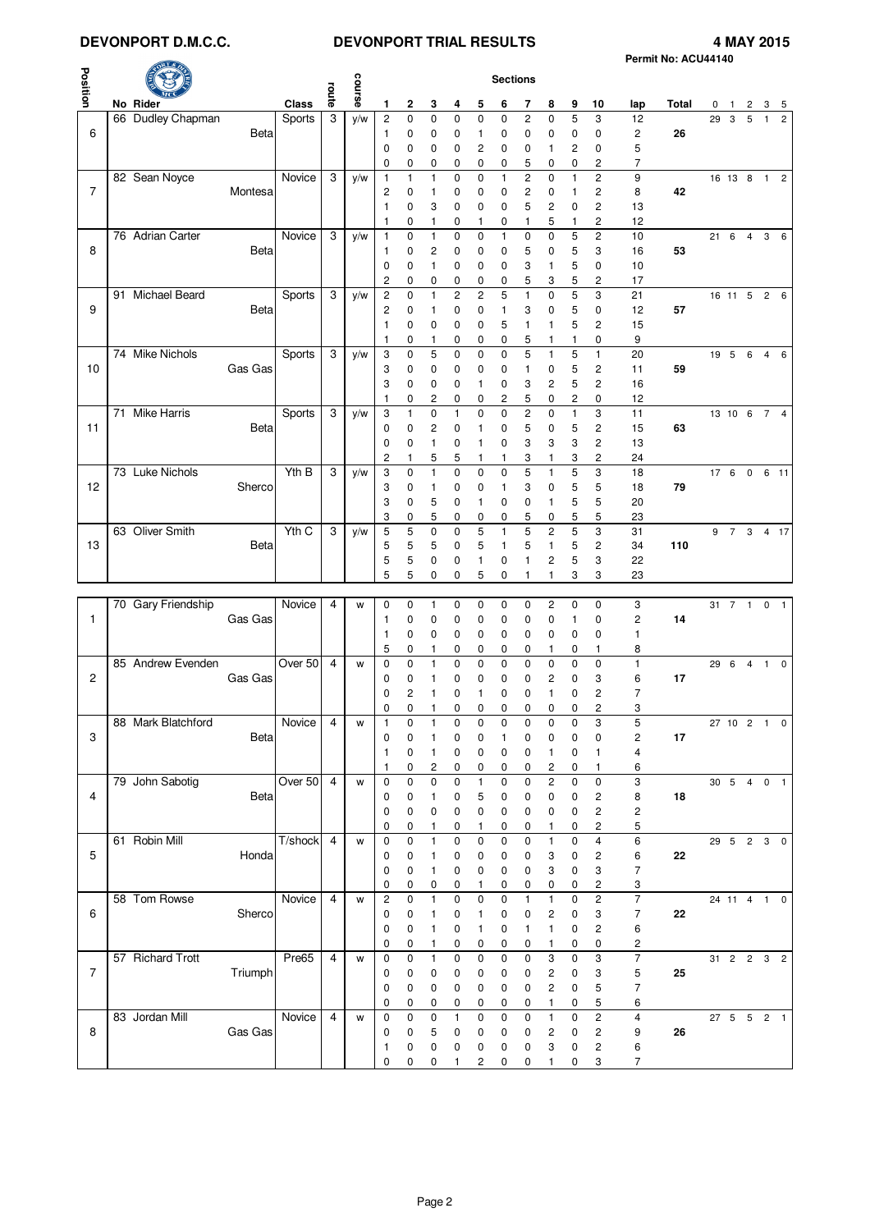# **DEVONPORT D.M.C.C. DEVONPORT TRIAL RESULTS 4 MAY 2015**

|                |                    |             |         |                |        |                |              |              |                |                |                         |                |                         |                     |                         |                  | Permit No: ACU44140 |    |              |                |                                      |                |
|----------------|--------------------|-------------|---------|----------------|--------|----------------|--------------|--------------|----------------|----------------|-------------------------|----------------|-------------------------|---------------------|-------------------------|------------------|---------------------|----|--------------|----------------|--------------------------------------|----------------|
|                |                    |             |         |                |        |                |              |              |                |                | <b>Sections</b>         |                |                         |                     |                         |                  |                     |    |              |                |                                      |                |
| Position       |                    |             |         | route          | course |                |              |              |                |                |                         |                |                         |                     |                         |                  |                     |    |              |                |                                      |                |
|                | No Rider           |             | Class   |                |        | 1              | 2            | 3            | 4              | 5              | 6                       | 7              | 8                       | 9                   | 10                      | lap              | Total               | 0  | $\mathbf{1}$ | 2              | 3                                    | 5              |
|                | 66 Dudley Chapman  |             | Sports  | 3              | y/w    | $\overline{c}$ | 0            | $\mathbf 0$  | 0              | 0              | $\mathbf 0$             | $\overline{c}$ | 0                       | 5                   | 3                       | 12               |                     | 29 | 3            | 5              | $\mathbf{1}$                         | $\overline{2}$ |
| 6              |                    | Beta        |         |                |        | $\mathbf{1}$   | 0            | 0            | 0              | 1              | 0                       | 0              | 0                       | 0                   | 0                       | 2                | 26                  |    |              |                |                                      |                |
|                |                    |             |         |                |        | $\mathbf 0$    | 0            | 0            | 0              | 2              | 0                       | 0              | 1                       | 2                   | 0                       | 5                |                     |    |              |                |                                      |                |
|                |                    |             |         |                |        | $\mathbf 0$    | 0            | 0            | 0              | 0              | 0                       | 5              | 0                       | 0                   | 2                       | 7                |                     |    |              |                |                                      |                |
|                | 82 Sean Noyce      |             | Novice  | 3              | y/w    | $\overline{1}$ | $\mathbf{1}$ | $\mathbf{1}$ | 0              | $\mathbf 0$    | $\mathbf{1}$            | $\overline{c}$ | 0                       | 1                   | $\overline{c}$          | 9                |                     |    | 16 13 8      |                | $\overline{1}$                       | $\overline{c}$ |
| $\overline{7}$ |                    | Montesa     |         |                |        | $\overline{c}$ | 0            | 1            | 0              | 0              | 0                       | $\overline{c}$ | 0                       | 1                   | 2                       | 8                | 42                  |    |              |                |                                      |                |
|                |                    |             |         |                |        | $\mathbf{1}$   | 0            | 3            | 0              | 0              | 0                       | 5              | 2                       | 0                   | $\overline{\mathbf{c}}$ |                  |                     |    |              |                |                                      |                |
|                |                    |             |         |                |        |                |              |              |                |                |                         |                |                         |                     |                         | 13               |                     |    |              |                |                                      |                |
|                |                    |             |         |                |        | $\mathbf{1}$   | $\mathbf 0$  | 1            | 0              | 1              | 0                       | $\mathbf{1}$   | 5                       | 1                   | $\overline{c}$          | 12               |                     |    |              |                |                                      |                |
|                | 76 Adrian Carter   |             | Novice  | 3              | y/w    | $\mathbf{1}$   | $\mathbf 0$  | 1            | 0              | $\mathbf 0$    | $\mathbf{1}$            | $\mathbf 0$    | 0                       | 5                   | $\overline{c}$          | 10               |                     | 21 | 6            | $\overline{4}$ | 3                                    | 6              |
| 8              |                    | Beta        |         |                |        | -1             | 0            | 2            | 0              | $\mathbf 0$    | 0                       | 5              | $\mathbf 0$             | 5                   | 3                       | 16               | 53                  |    |              |                |                                      |                |
|                |                    |             |         |                |        | $\mathbf 0$    | 0            | 1            | 0              | 0              | 0                       | 3              | 1                       | 5                   | $\mathbf 0$             | 10               |                     |    |              |                |                                      |                |
|                |                    |             |         |                |        | 2              | 0            | 0            | 0              | 0              | 0                       | 5              | 3                       | 5                   | 2                       | 17               |                     |    |              |                |                                      |                |
|                | 91 Michael Beard   |             | Sports  | 3              | y/w    | $\overline{c}$ | 0            | $\mathbf{1}$ | $\overline{c}$ | $\overline{c}$ | 5                       | $\mathbf{1}$   | 0                       | 5                   | 3                       | 21               |                     |    |              |                | 16 11 5 2 6                          |                |
| 9              |                    | <b>Beta</b> |         |                |        | $\overline{c}$ | 0            | 1            | 0              | 0              | $\mathbf{1}$            | 3              | 0                       | 5                   | 0                       | 12               | 57                  |    |              |                |                                      |                |
|                |                    |             |         |                |        | 1              | 0            | 0            | 0              | 0              | 5                       | $\mathbf{1}$   | 1                       | 5                   | $\overline{c}$          | 15               |                     |    |              |                |                                      |                |
|                |                    |             |         |                |        | $\mathbf{1}$   | 0            | 1            | 0              | 0              | 0                       | 5              | 1                       | 1                   | 0                       | 9                |                     |    |              |                |                                      |                |
|                | 74 Mike Nichols    |             | Sports  | 3              | y/w    | 3              | 0            | 5            | 0              | 0              | $\mathbf 0$             | 5              | $\mathbf{1}$            | 5                   | $\mathbf{1}$            | 20               |                     |    |              |                | 19 5 6 4 6                           |                |
| 10             |                    | Gas Gas     |         |                |        | 3              | 0            | 0            |                | 0              |                         | 1              | 0                       | 5                   | 2                       |                  |                     |    |              |                |                                      |                |
|                |                    |             |         |                |        |                |              |              | 0              |                | 0                       |                |                         |                     |                         | 11               | 59                  |    |              |                |                                      |                |
|                |                    |             |         |                |        | 3              | 0            | 0            | 0              | 1              | 0                       | 3              | 2                       | 5                   | 2                       | 16               |                     |    |              |                |                                      |                |
|                |                    |             |         |                |        | $\mathbf{1}$   | 0            | 2            | 0              | 0              | $\overline{\mathbf{c}}$ | 5              | 0                       | 2                   | 0                       | 12               |                     |    |              |                |                                      |                |
|                | 71 Mike Harris     |             | Sports  | 3              | y/w    | 3              | $\mathbf{1}$ | 0            | 1              | 0              | $\mathbf 0$             | $\overline{c}$ | $\mathbf 0$             | 1                   | 3                       | 11               |                     |    | 13 10 6      |                | $\overline{7}$                       | $\overline{4}$ |
| 11             |                    | Beta        |         |                |        | $\mathbf 0$    | 0            | 2            | 0              | 1              | 0                       | 5              | 0                       | 5                   | 2                       | 15               | 63                  |    |              |                |                                      |                |
|                |                    |             |         |                |        | 0              | 0            | 1            | 0              | 1              | 0                       | 3              | 3                       | 3                   | 2                       | 13               |                     |    |              |                |                                      |                |
|                |                    |             |         |                |        | 2              | 1            | 5            | 5              | 1              | 1                       | 3              | 1                       | 3                   | 2                       | 24               |                     |    |              |                |                                      |                |
|                | 73 Luke Nichols    |             | Yth B   | 3              | y/w    | 3              | 0            | $\mathbf{1}$ | 0              | 0              | 0                       | 5              | 1                       | 5                   | 3                       | 18               |                     |    | 17 6 0       |                |                                      | 6 11           |
| 12             |                    | Sherco      |         |                |        | 3              | 0            | 1            | 0              | 0              | 1                       | 3              | 0                       | 5                   | 5                       | 18               | 79                  |    |              |                |                                      |                |
|                |                    |             |         |                |        | 3              | 0            | 5            | 0              | 1              | 0                       | 0              | 1                       | 5                   | 5                       | 20               |                     |    |              |                |                                      |                |
|                |                    |             |         |                |        | 3              | 0            | 5            | 0              | 0              | 0                       | 5              | 0                       | 5                   | 5                       | 23               |                     |    |              |                |                                      |                |
|                | 63 Oliver Smith    |             | Yth C   | 3              |        |                |              |              |                |                | $\mathbf{1}$            | 5              |                         | 5                   |                         |                  |                     |    |              |                |                                      |                |
|                |                    |             |         |                | y/w    | 5              | 5            | $\mathbf 0$  | $\mathbf 0$    | 5              |                         |                | $\overline{c}$          |                     | 3                       | 31               |                     |    |              |                | 9 7 3 4 17                           |                |
| 13             |                    | Beta        |         |                |        | 5              | 5            | 5            | 0              | 5              | $\mathbf{1}$            | 5              | 1                       | 5                   | 2                       | 34               | 110                 |    |              |                |                                      |                |
|                |                    |             |         |                |        | 5              | 5            | 0            | 0              | 1              | 0                       | $\mathbf{1}$   | 2                       | 5                   | 3                       | 22               |                     |    |              |                |                                      |                |
|                |                    |             |         |                |        | 5              | 5            | 0            | 0              | 5              | 0                       | 1              | 1                       | 3                   | 3                       | 23               |                     |    |              |                |                                      |                |
|                |                    |             |         |                |        |                |              |              |                |                |                         |                |                         |                     |                         |                  |                     |    |              |                |                                      |                |
|                | 70 Gary Friendship |             | Novice  | 4              | w      | 0              | 0            | 1            | 0              | 0              | 0                       | 0              | 2                       | 0                   | 0                       | 3                |                     |    | 31 7 1       |                |                                      | 0 <sub>1</sub> |
| 1              |                    | Gas Gas     |         |                |        | $\mathbf 1$    | 0            | 0            | 0              | 0              | 0                       | 0              | 0                       | 1                   | 0                       | 2                | 14                  |    |              |                |                                      |                |
|                |                    |             |         |                |        | $\mathbf{1}$   | 0            | 0            | 0              | 0              | 0                       | 0              | 0                       | 0                   | 0                       | 1                |                     |    |              |                |                                      |                |
|                |                    |             |         |                |        | 5              | 0            | 1            | 0              | 0              | 0                       | 0              | 1                       | 0                   | 1                       | 8                |                     |    |              |                |                                      |                |
|                | 85 Andrew Evenden  |             | Over 50 | 4              | W      | 0              | 0            | $\mathbf{1}$ | 0              | 0              | $\mathbf 0$             | 0              | 0                       | 0                   | $\pmb{0}$               | $\mathbf{1}$     |                     | 29 | 6            | $\overline{4}$ | $1 \quad 0$                          |                |
| $\overline{c}$ |                    | Gas Gas     |         |                |        | 0              | 0            | 1            | 0              | 0              | 0                       | 0              | 2                       | 0                   | 3                       | 6                | 17                  |    |              |                |                                      |                |
|                |                    |             |         |                |        |                |              |              |                |                |                         |                |                         |                     |                         | 7                |                     |    |              |                |                                      |                |
|                |                    |             |         |                |        | 0              | 2            | 1            | 0              | 1              | 0                       | 0              | $\mathbf{1}$            | 0                   | $\overline{c}$          |                  |                     |    |              |                |                                      |                |
|                |                    |             |         |                |        | $\mathbf 0$    | $\mathbf 0$  | 1            | 0              | 0              | 0                       | 0              | 0                       | 0                   | 2                       | 3                |                     |    |              |                |                                      |                |
|                | 88 Mark Blatchford |             | Novice  | 4              | W      | $\mathbf{1}$   | 0            | 1            | $\pmb{0}$      | $\mathbf 0$    | 0                       | 0              | 0                       | 0                   | 3                       | 5                |                     |    |              |                | 27 10 2 1 0                          |                |
| 3              |                    | <b>Beta</b> |         |                |        | $\mathbf 0$    | 0            | 1            | 0              | $\mathbf 0$    | 1                       | 0              | 0                       | 0                   | $\pmb{0}$               | 2                | 17                  |    |              |                |                                      |                |
|                |                    |             |         |                |        | $\mathbf{1}$   | 0            | 1            | 0              | 0              | $\mathbf 0$             | 0              | 1                       | 0                   | 1                       | 4                |                     |    |              |                |                                      |                |
|                |                    |             |         |                |        | $\mathbf{1}$   | 0            | 2            | 0              | 0              | 0                       | 0              | 2                       | 0                   | $\mathbf{1}$            | 6                |                     |    |              |                |                                      |                |
|                | 79 John Sabotig    |             | Over 50 | 4              | W      | $\mathbf 0$    | 0            | $\mathbf 0$  | 0              | $\mathbf{1}$   | $\pmb{0}$               | $\mathbf 0$    | $\overline{c}$          | $\mathbf 0$         | $\pmb{0}$               | 3                |                     |    |              |                | 30 5 4 0 1                           |                |
| 4              |                    | <b>Beta</b> |         |                |        | $\mathbf 0$    | 0            | 1            | 0              | 5              | 0                       | 0              | 0                       | 0                   | $\boldsymbol{2}$        | 8                | 18                  |    |              |                |                                      |                |
|                |                    |             |         |                |        | 0              | 0            | 0            | 0              | 0              | 0                       | 0              | 0                       | 0                   | $\boldsymbol{2}$        | 2                |                     |    |              |                |                                      |                |
|                |                    |             |         |                |        | 0              | 0            | 1            | 0              | 1              | 0                       | 0              | 1                       | 0                   | $\overline{c}$          | 5                |                     |    |              |                |                                      |                |
|                | 61 Robin Mill      |             | T/shock | $\overline{4}$ | W      | $\mathbf 0$    | 0            | $\mathbf{1}$ | 0              | $\pmb{0}$      | $\pmb{0}$               | $\mathbf 0$    | 1                       | $\mathbf 0$         | $\overline{4}$          | 6                |                     |    |              |                | $29 \quad 5 \quad 2 \quad 3 \quad 0$ |                |
| 5              |                    | Honda       |         |                |        |                |              |              |                |                |                         |                |                         |                     |                         |                  | 22                  |    |              |                |                                      |                |
|                |                    |             |         |                |        | 0              | 0            | 1            | 0              | 0              | 0                       | 0              | 3                       | 0                   | $\mathbf 2$             | 6                |                     |    |              |                |                                      |                |
|                |                    |             |         |                |        | 0              | 0            | 1            | 0              | 0              | 0                       | $\pmb{0}$      | 3                       | 0                   | 3                       | $\overline{7}$   |                     |    |              |                |                                      |                |
|                |                    |             |         |                |        | 0              | 0            | 0            | 0              | $\mathbf{1}$   | 0                       | 0              | 0                       | 0                   | 2                       | 3                |                     |    |              |                |                                      |                |
|                | 58 Tom Rowse       |             | Novice  | 4              | W      | $\overline{c}$ | 0            | $\mathbf{1}$ | $\mathbf 0$    | $\mathbf 0$    | $\pmb{0}$               | $\mathbf{1}$   | $\mathbf{1}$            | $\pmb{0}$           | $\overline{2}$          | $\overline{7}$   |                     |    |              |                | 24 11 4 1 0                          |                |
| 6              |                    | Sherco      |         |                |        | 0              | 0            | 1            | 0              | 1              | 0                       | 0              | 2                       | 0                   | 3                       | $\boldsymbol{7}$ | 22                  |    |              |                |                                      |                |
|                |                    |             |         |                |        | 0              | 0            | 1            | 0              | 1              | 0                       | $\mathbf{1}$   | 1                       | 0                   | $\overline{c}$          | 6                |                     |    |              |                |                                      |                |
|                |                    |             |         |                |        | $\mathbf 0$    | 0            | 1            | 0              | 0              | 0                       | 0              | 1                       | 0                   | 0                       | 2                |                     |    |              |                |                                      |                |
|                | 57 Richard Trott   |             | Pre65   | $\overline{4}$ | W      | $\mathbf 0$    | 0            | 1            | 0              | $\pmb{0}$      | $\pmb{0}$               | $\mathbf 0$    | 3                       | $\pmb{0}$           | 3                       | $\boldsymbol{7}$ |                     |    |              |                | 31 2 2 3 2                           |                |
| $\overline{7}$ |                    | Triumph     |         |                |        | 0              | 0            | 0            | 0              | 0              | 0                       | $\mathbf 0$    | 2                       | 0                   | 3                       | 5                | 25                  |    |              |                |                                      |                |
|                |                    |             |         |                |        |                |              |              |                |                |                         |                | $\overline{\mathbf{c}}$ |                     |                         |                  |                     |    |              |                |                                      |                |
|                |                    |             |         |                |        | 0              | 0            | 0            | 0              | 0              | 0                       | $\pmb{0}$      |                         | 0                   | 5                       | $\overline{7}$   |                     |    |              |                |                                      |                |
|                |                    |             |         |                |        | $\mathbf 0$    | 0            | 0            | 0              | 0              | 0                       | 0              | 1                       | 0                   | 5                       | 6                |                     |    |              |                |                                      |                |
|                | 83 Jordan Mill     |             | Novice  | 4              | w      | $\mathbf{0}$   | 0            | $\mathbf 0$  | 1              | $\mathbf 0$    | $\pmb{0}$               | $\mathbf 0$    | $\mathbf{1}$            | 0                   | $\overline{2}$          | 4                |                     |    |              |                | 27 5 5 2 1                           |                |
| 8              |                    | Gas Gas     |         |                |        | 0              | 0            | 5            | 0              | 0              | 0                       | $\pmb{0}$      | 2                       | 0                   | $\mathbf 2$             | 9                | 26                  |    |              |                |                                      |                |
|                |                    |             |         |                |        | $\mathbf{1}$   | 0            | 0            | 0              | 0              | 0                       | 0              | 3                       | 0                   | $\overline{c}$          | 6                |                     |    |              |                |                                      |                |
|                |                    |             |         |                |        | $\pmb{0}$      | 0            | 0            | $\mathbf{1}$   | $\overline{c}$ | 0                       | 0              | 1                       | $\mathsf{O}\xspace$ | 3                       | $\overline{7}$   |                     |    |              |                |                                      |                |